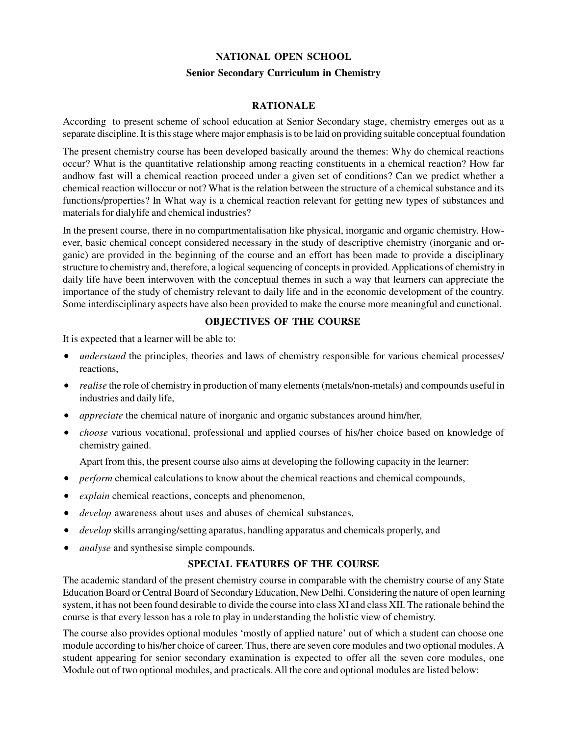### **NATIONAL OPEN SCHOOL**

#### **Senior Secondary Curriculum in Chemistry**

## **RATIONALE**

According to present scheme of school education at Senior Secondary stage, chemistry emerges out as a separate discipline. It is this stage where major emphasis is to be laid on providing suitable conceptual foundation

The present chemistry course has been developed basically around the themes: Why do chemical reactions occur? What is the quantitative relationship among reacting constituents in a chemical reaction? How far andhow fast will a chemical reaction proceed under a given set of conditions? Can we predict whether a chemical reaction willoccur or not? What is the relation between the structure of a chemical substance and its functions/properties? In What way is a chemical reaction relevant for getting new types of substances and materials for dialylife and chemical industries?

In the present course, there in no compartmentalisation like physical, inorganic and organic chemistry. However, basic chemical concept considered necessary in the study of descriptive chemistry (inorganic and organic) are provided in the beginning of the course and an effort has been made to provide a disciplinary structure to chemistry and, therefore, a logical sequencing of concepts in provided. Applications of chemistry in daily life have been interwoven with the conceptual themes in such a way that learners can appreciate the importance of the study of chemistry relevant to daily life and in the economic development of the country. Some interdisciplinary aspects have also been provided to make the course more meaningful and cunctional.

## **OBJECTIVES OF THE COURSE**

It is expected that a learner will be able to:

- *understand* the principles, theories and laws of chemistry responsible for various chemical processes/ reactions,
- *realise* the role of chemistry in production of many elements (metals/non-metals) and compounds useful in industries and daily life,
- *appreciate* the chemical nature of inorganic and organic substances around him/her,
- *choose* various vocational, professional and applied courses of his/her choice based on knowledge of chemistry gained.

Apart from this, the present course also aims at developing the following capacity in the learner:

- *perform* chemical calculations to know about the chemical reactions and chemical compounds,
- *explain* chemical reactions, concepts and phenomenon,
- *develop* awareness about uses and abuses of chemical substances,
- *develop* skills arranging/setting aparatus, handling apparatus and chemicals properly, and
- *analyse* and synthesise simple compounds.

### **SPECIAL FEATURES OF THE COURSE**

The academic standard of the present chemistry course in comparable with the chemistry course of any State Education Board or Central Board of Secondary Education, New Delhi. Considering the nature of open learning system, it has not been found desirable to divide the course into class XI and class XII. The rationale behind the course is that every lesson has a role to play in understanding the holistic view of chemistry.

The course also provides optional modules 'mostly of applied nature' out of which a student can choose one module according to his/her choice of career. Thus, there are seven core modules and two optional modules. A student appearing for senior secondary examination is expected to offer all the seven core modules, one Module out of two optional modules, and practicals. All the core and optional modules are listed below: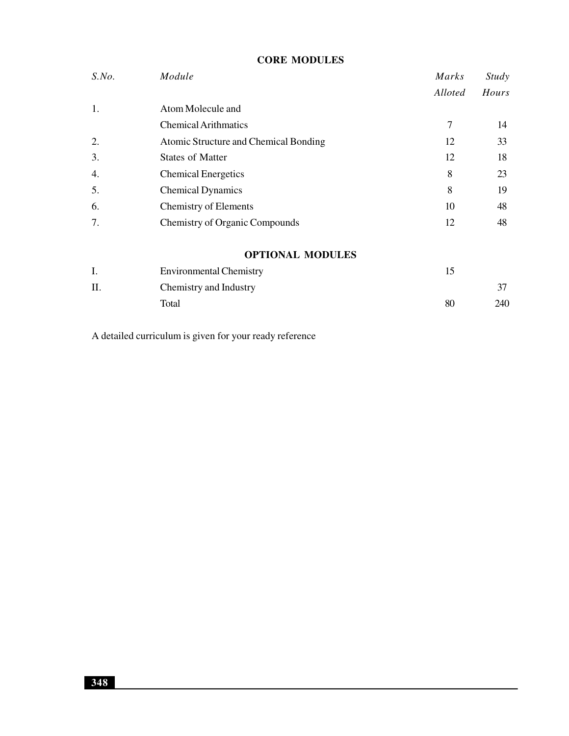| S. No. | Module                                | Marks   | <i>Study</i> |
|--------|---------------------------------------|---------|--------------|
|        |                                       | Alloted | Hours        |
| 1.     | Atom Molecule and                     |         |              |
|        | <b>Chemical Arithmatics</b>           | 7       | 14           |
| 2.     | Atomic Structure and Chemical Bonding | 12      | 33           |
| 3.     | <b>States of Matter</b>               | 12      | 18           |
| 4.     | <b>Chemical Energetics</b>            | 8       | 23           |
| 5.     | <b>Chemical Dynamics</b>              | 8       | 19           |
| 6.     | <b>Chemistry of Elements</b>          | 10      | 48           |
| 7.     | <b>Chemistry of Organic Compounds</b> | 12      | 48           |
|        | <b>OPTIONAL MODULES</b>               |         |              |
| I.     | <b>Environmental Chemistry</b>        | 15      |              |
| Π.     | Chemistry and Industry                |         | 37           |
|        | Total                                 | 80      | 240          |
|        |                                       |         |              |

**CORE MODULES**

A detailed curriculum is given for your ready reference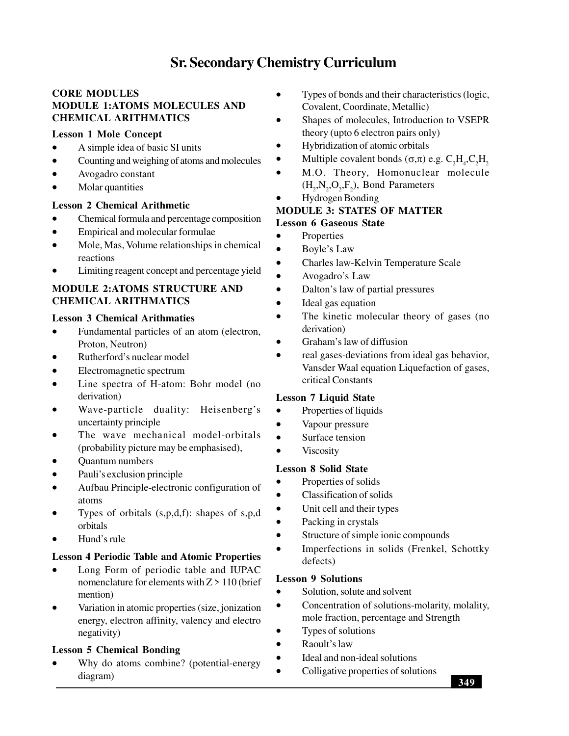# **Sr. Secondary Chemistry Curriculum**

# **CORE MODULES MODULE 1:ATOMS MOLECULES AND CHEMICAL ARITHMATICS**

## **Lesson 1 Mole Concept**

- A simple idea of basic SI units
- Counting and weighing of atoms and molecules
- Avogadro constant
- Molar quantities

## **Lesson 2 Chemical Arithmetic**

- Chemical formula and percentage composition
- Empirical and molecular formulae
- Mole, Mas, Volume relationships in chemical reactions
- Limiting reagent concept and percentage yield

## **MODULE 2:ATOMS STRUCTURE AND CHEMICAL ARITHMATICS**

## **Lesson 3 Chemical Arithmaties**

- Fundamental particles of an atom (electron, Proton, Neutron)
- Rutherford's nuclear model
- Electromagnetic spectrum
- Line spectra of H-atom: Bohr model (no derivation)
- Wave-particle duality: Heisenberg's uncertainty principle
- The wave mechanical model-orbitals (probability picture may be emphasised),
- Quantum numbers
- Pauli's exclusion principle
- Aufbau Principle-electronic configuration of atoms
- Types of orbitals  $(s, p, d, f)$ : shapes of s,p,d orbitals
- Hund's rule

## **Lesson 4 Periodic Table and Atomic Properties**

- Long Form of periodic table and IUPAC nomenclature for elements with  $Z > 110$  (brief mention)
- Variation in atomic properties (size, jonization energy, electron affinity, valency and electro negativity)

## **Lesson 5 Chemical Bonding**

 Why do atoms combine? (potential-energy diagram)

- Types of bonds and their characteristics (logic, Covalent, Coordinate, Metallic)
- Shapes of molecules, Introduction to VSEPR theory (upto 6 electron pairs only)
- Hybridization of atomic orbitals
- Multiple covalent bonds  $(\sigma,\pi)$  e.g.  $C_2H_4$ ,  $C_2H_2$
- M.O. Theory, Homonuclear molecule  $(H_2, N_2, O_2, F_2)$ , Bond Parameters
- Hydrogen Bonding

# **MODULE 3: STATES OF MATTER**

# **Lesson 6 Gaseous State**

- Properties
- Boyle's Law
- Charles law-Kelvin Temperature Scale
- Avogadro's Law
- Dalton's law of partial pressures
- Ideal gas equation
- The kinetic molecular theory of gases (no derivation)
- Graham's law of diffusion
- real gases-deviations from ideal gas behavior, Vansder Waal equation Liquefaction of gases, critical Constants

## **Lesson 7 Liquid State**

- Properties of liquids
- Vapour pressure
- Surface tension
- Viscosity

## **Lesson 8 Solid State**

- Properties of solids
- Classification of solids
- Unit cell and their types
- Packing in crystals
- Structure of simple ionic compounds
- Imperfections in solids (Frenkel, Schottky defects)

#### **Lesson 9 Solutions**

- Solution, solute and solvent
- Concentration of solutions-molarity, molality, mole fraction, percentage and Strength
- Types of solutions
- Raoult's law
- Ideal and non-ideal solutions
- Colligative properties of solutions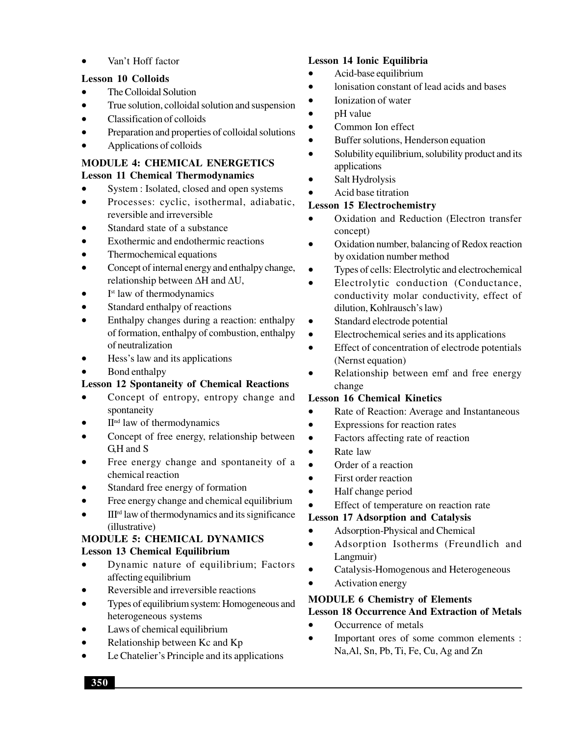Van't Hoff factor

## **Lesson 10 Colloids**

- The Colloidal Solution
- True solution, colloidal solution and suspension
- Classification of colloids
- Preparation and properties of colloidal solutions
- Applications of colloids

### **MODULE 4: CHEMICAL ENERGETICS Lesson 11 Chemical Thermodynamics**

- System : Isolated, closed and open systems
- Processes: cyclic, isothermal, adiabatic, reversible and irreversible
- Standard state of a substance
- Exothermic and endothermic reactions
- Thermochemical equations
- Concept of internal energy and enthalpy change, relationship between  $\Delta H$  and  $\Delta U$ ,
- I<sup>st</sup> law of thermodynamics
- Standard enthalpy of reactions
- Enthalpy changes during a reaction: enthalpy of formation, enthalpy of combustion, enthalpy of neutralization
- Hess's law and its applications
- Bond enthalpy

# **Lesson 12 Spontaneity of Chemical Reactions**

- Concept of entropy, entropy change and spontaneity
- IInd law of thermodynamics
- Concept of free energy, relationship between G,H and S
- Free energy change and spontaneity of a chemical reaction
- Standard free energy of formation
- Free energy change and chemical equilibrium
- $\bullet$  III<sup>rd</sup> law of thermodynamics and its significance (illustrative)

## **MODULE 5: CHEMICAL DYNAMICS Lesson 13 Chemical Equilibrium**

- Dynamic nature of equilibrium; Factors affecting equilibrium
- Reversible and irreversible reactions
- Types of equilibrium system: Homogeneous and heterogeneous systems
- Laws of chemical equilibrium
- Relationship between Kc and Kp
- Le Chatelier's Principle and its applications

## **Lesson 14 Ionic Equilibria**

- Acid-base equilibrium
- lonisation constant of lead acids and bases
- Ionization of water
- pH value
- Common Ion effect
- Buffer solutions, Henderson equation
- Solubility equilibrium, solubility product and its applications
- Salt Hydrolysis
- Acid base titration

## **Lesson 15 Electrochemistry**

- Oxidation and Reduction (Electron transfer concept)
- Oxidation number, balancing of Redox reaction by oxidation number method
- Types of cells: Electrolytic and electrochemical
- Electrolytic conduction (Conductance, conductivity molar conductivity, effect of dilution, Kohlrausch's law)
- Standard electrode potential
- Electrochemical series and its applications
- Effect of concentration of electrode potentials (Nernst equation)
- Relationship between emf and free energy change

## **Lesson 16 Chemical Kinetics**

- Rate of Reaction: Average and Instantaneous
- Expressions for reaction rates
- Factors affecting rate of reaction
- Rate law
- Order of a reaction
- First order reaction
- Half change period
- Effect of temperature on reaction rate

# **Lesson 17 Adsorption and Catalysis**

- Adsorption-Physical and Chemical
- Adsorption Isotherms (Freundlich and Langmuir)
- Catalysis-Homogenous and Heterogeneous
- Activation energy

# **MODULE 6 Chemistry of Elements**

- **Lesson 18 Occurrence And Extraction of Metals**
- Occurrence of metals
- Important ores of some common elements : Na,Al, Sn, Pb, Ti, Fe, Cu, Ag and Zn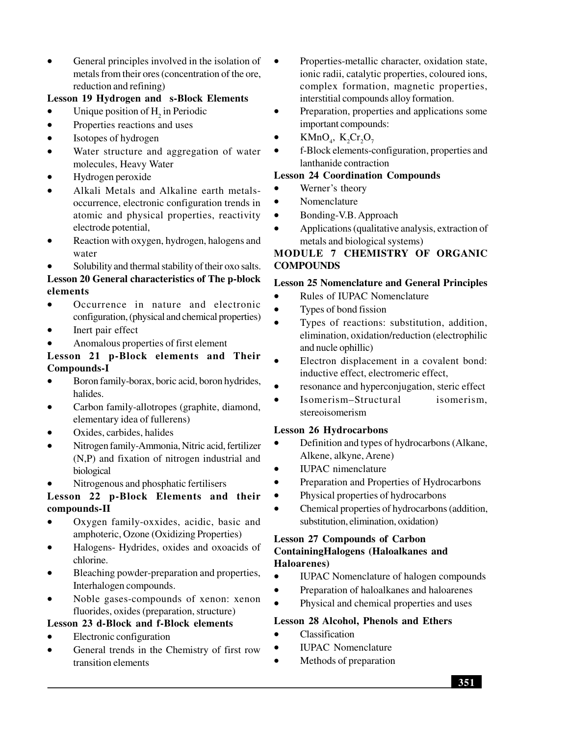General principles involved in the isolation of metals from their ores (concentration of the ore, reduction and refining)

## **Lesson 19 Hydrogen and s-Block Elements**

- Unique position of  $H_2$  in Periodic
- Properties reactions and uses
- Isotopes of hydrogen
- Water structure and aggregation of water molecules, Heavy Water
- Hydrogen peroxide
- Alkali Metals and Alkaline earth metalsoccurrence, electronic configuration trends in atomic and physical properties, reactivity electrode potential,
- Reaction with oxygen, hydrogen, halogens and water
- Solubility and thermal stability of their oxo salts. **Lesson 20 General characteristics of The p-block elements**
- Occurrence in nature and electronic configuration, (physical and chemical properties)
- Inert pair effect
- Anomalous properties of first element

## **Lesson 21 p-Block elements and Their Compounds-I**

- Boron family-borax, boric acid, boron hydrides, halides.
- Carbon family-allotropes (graphite, diamond, elementary idea of fullerens)
- Oxides, carbides, halides
- Nitrogen family-Ammonia, Nitric acid, fertilizer (N,P) and fixation of nitrogen industrial and biological
- Nitrogenous and phosphatic fertilisers

## **Lesson 22 p-Block Elements and their compounds-II**

- Oxygen family-oxxides, acidic, basic and amphoteric, Ozone (Oxidizing Properties)
- Halogens- Hydrides, oxides and oxoacids of chlorine.
- Bleaching powder-preparation and properties, Interhalogen compounds.
- Noble gases-compounds of xenon: xenon fluorides, oxides (preparation, structure)

## **Lesson 23 d-Block and f-Block elements**

- Electronic configuration
- General trends in the Chemistry of first row transition elements
- Properties-metallic character, oxidation state, ionic radii, catalytic properties, coloured ions, complex formation, magnetic properties, interstitial compounds alloy formation.
- Preparation, properties and applications some important compounds:
- KMnO<sub>4</sub>, K<sub>2</sub>Cr<sub>2</sub>O<sub>7</sub>
- f-Block elements-configuration, properties and lanthanide contraction

## **Lesson 24 Coordination Compounds**

- Werner's theory
- Nomenclature
- Bonding-V.B. Approach
- Applications (qualitative analysis, extraction of metals and biological systems)

# **MODULE 7 CHEMISTRY OF ORGANIC COMPOUNDS**

## **Lesson 25 Nomenclature and General Principles**

- Rules of IUPAC Nomenclature
- Types of bond fission
- Types of reactions: substitution, addition, elimination, oxidation/reduction (electrophilic and nucle ophillic)
	- Electron displacement in a covalent bond: inductive effect, electromeric effect,
- resonance and hyperconjugation, steric effect
- Isomerism–Structural isomerism, stereoisomerism

#### **Lesson 26 Hydrocarbons**

- Definition and types of hydrocarbons (Alkane, Alkene, alkyne, Arene)
- IUPAC nimenclature
- Preparation and Properties of Hydrocarbons
- Physical properties of hydrocarbons
- Chemical properties of hydrocarbons (addition, substitution, elimination, oxidation)

## **Lesson 27 Compounds of Carbon ContainingHalogens (Haloalkanes and Haloarenes)**

- IUPAC Nomenclature of halogen compounds
- Preparation of haloalkanes and haloarenes
- Physical and chemical properties and uses

#### **Lesson 28 Alcohol, Phenols and Ethers**

- Classification
- IUPAC Nomenclature
	- Methods of preparation